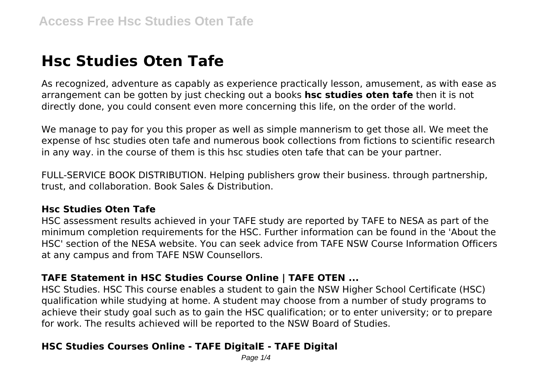# **Hsc Studies Oten Tafe**

As recognized, adventure as capably as experience practically lesson, amusement, as with ease as arrangement can be gotten by just checking out a books **hsc studies oten tafe** then it is not directly done, you could consent even more concerning this life, on the order of the world.

We manage to pay for you this proper as well as simple mannerism to get those all. We meet the expense of hsc studies oten tafe and numerous book collections from fictions to scientific research in any way. in the course of them is this hsc studies oten tafe that can be your partner.

FULL-SERVICE BOOK DISTRIBUTION. Helping publishers grow their business. through partnership, trust, and collaboration. Book Sales & Distribution.

# **Hsc Studies Oten Tafe**

HSC assessment results achieved in your TAFE study are reported by TAFE to NESA as part of the minimum completion requirements for the HSC. Further information can be found in the 'About the HSC' section of the NESA website. You can seek advice from TAFE NSW Course Information Officers at any campus and from TAFE NSW Counsellors.

# **TAFE Statement in HSC Studies Course Online | TAFE OTEN ...**

HSC Studies. HSC This course enables a student to gain the NSW Higher School Certificate (HSC) qualification while studying at home. A student may choose from a number of study programs to achieve their study goal such as to gain the HSC qualification; or to enter university; or to prepare for work. The results achieved will be reported to the NSW Board of Studies.

# **HSC Studies Courses Online - TAFE DigitalE - TAFE Digital**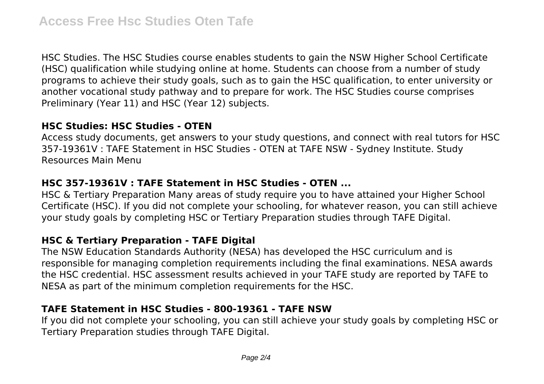HSC Studies. The HSC Studies course enables students to gain the NSW Higher School Certificate (HSC) qualification while studying online at home. Students can choose from a number of study programs to achieve their study goals, such as to gain the HSC qualification, to enter university or another vocational study pathway and to prepare for work. The HSC Studies course comprises Preliminary (Year 11) and HSC (Year 12) subjects.

## **HSC Studies: HSC Studies - OTEN**

Access study documents, get answers to your study questions, and connect with real tutors for HSC 357-19361V : TAFE Statement in HSC Studies - OTEN at TAFE NSW - Sydney Institute. Study Resources Main Menu

# **HSC 357-19361V : TAFE Statement in HSC Studies - OTEN ...**

HSC & Tertiary Preparation Many areas of study require you to have attained your Higher School Certificate (HSC). If you did not complete your schooling, for whatever reason, you can still achieve your study goals by completing HSC or Tertiary Preparation studies through TAFE Digital.

# **HSC & Tertiary Preparation - TAFE Digital**

The NSW Education Standards Authority (NESA) has developed the HSC curriculum and is responsible for managing completion requirements including the final examinations. NESA awards the HSC credential. HSC assessment results achieved in your TAFE study are reported by TAFE to NESA as part of the minimum completion requirements for the HSC.

# **TAFE Statement in HSC Studies - 800-19361 - TAFE NSW**

If you did not complete your schooling, you can still achieve your study goals by completing HSC or Tertiary Preparation studies through TAFE Digital.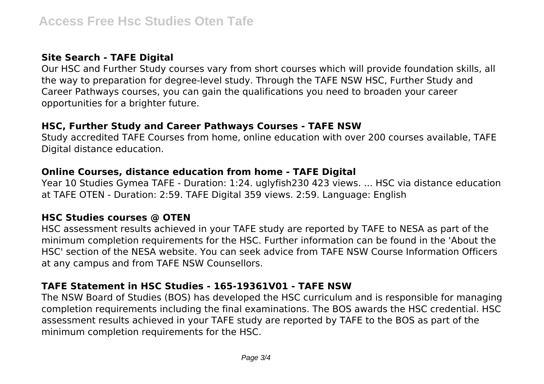## **Site Search - TAFE Digital**

Our HSC and Further Study courses vary from short courses which will provide foundation skills, all the way to preparation for degree-level study. Through the TAFE NSW HSC, Further Study and Career Pathways courses, you can gain the qualifications you need to broaden your career opportunities for a brighter future.

### **HSC, Further Study and Career Pathways Courses - TAFE NSW**

Study accredited TAFE Courses from home, online education with over 200 courses available, TAFE Digital distance education.

## **Online Courses, distance education from home - TAFE Digital**

Year 10 Studies Gymea TAFE - Duration: 1:24. uglyfish230 423 views. ... HSC via distance education at TAFE OTEN - Duration: 2:59. TAFE Digital 359 views. 2:59. Language: English

## **HSC Studies courses @ OTEN**

HSC assessment results achieved in your TAFE study are reported by TAFE to NESA as part of the minimum completion requirements for the HSC. Further information can be found in the 'About the HSC' section of the NESA website. You can seek advice from TAFE NSW Course Information Officers at any campus and from TAFE NSW Counsellors.

# **TAFE Statement in HSC Studies - 165-19361V01 - TAFE NSW**

The NSW Board of Studies (BOS) has developed the HSC curriculum and is responsible for managing completion requirements including the final examinations. The BOS awards the HSC credential. HSC assessment results achieved in your TAFE study are reported by TAFE to the BOS as part of the minimum completion requirements for the HSC.